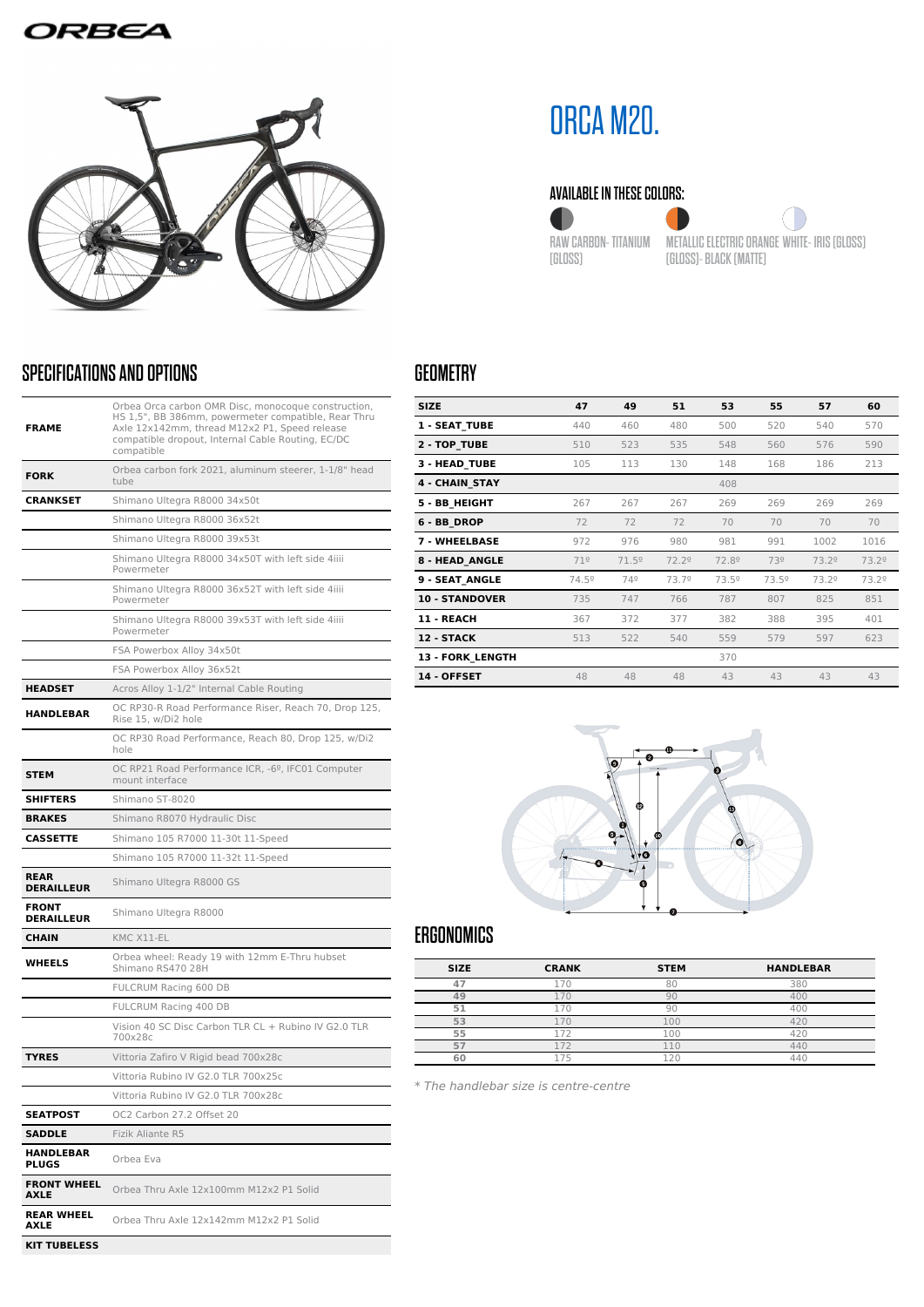### ORBEA



## SPECIFICATIONS AND OPTIONS

| <b>FRAME</b>                      | Orbea Orca carbon OMR Disc, monocoque construction,<br>HS 1,5", BB 386mm, powermeter compatible, Rear Thru<br>Axle 12x142mm, thread M12x2 P1, Speed release<br>compatible dropout, Internal Cable Routing, EC/DC<br>compatible |  |  |  |  |
|-----------------------------------|--------------------------------------------------------------------------------------------------------------------------------------------------------------------------------------------------------------------------------|--|--|--|--|
| <b>FORK</b>                       | Orbea carbon fork 2021, aluminum steerer, 1-1/8" head<br>tube                                                                                                                                                                  |  |  |  |  |
| <b>CRANKSET</b>                   | Shimano Ultegra R8000 34x50t                                                                                                                                                                                                   |  |  |  |  |
|                                   | Shimano Ultegra R8000 36x52t                                                                                                                                                                                                   |  |  |  |  |
|                                   | Shimano Ultegra R8000 39x53t                                                                                                                                                                                                   |  |  |  |  |
|                                   | Shimano Ultegra R8000 34x50T with left side 4iiii<br>Powermeter                                                                                                                                                                |  |  |  |  |
|                                   | Shimano Ultegra R8000 36x52T with left side 4iiii<br>Powermeter                                                                                                                                                                |  |  |  |  |
|                                   | Shimano Ultegra R8000 39x53T with left side 4iiii<br>Powermeter                                                                                                                                                                |  |  |  |  |
|                                   | FSA Powerbox Alloy 34x50t                                                                                                                                                                                                      |  |  |  |  |
|                                   | FSA Powerbox Alloy 36x52t                                                                                                                                                                                                      |  |  |  |  |
| <b>HEADSET</b>                    | Acros Alloy 1-1/2" Internal Cable Routing                                                                                                                                                                                      |  |  |  |  |
| <b>HANDLEBAR</b>                  | OC RP30-R Road Performance Riser, Reach 70, Drop 125,<br>Rise 15, w/Di2 hole                                                                                                                                                   |  |  |  |  |
|                                   | OC RP30 Road Performance, Reach 80, Drop 125, w/Di2<br>hole                                                                                                                                                                    |  |  |  |  |
| <b>STEM</b>                       | OC RP21 Road Performance ICR, -6º, IFC01 Computer<br>mount interface                                                                                                                                                           |  |  |  |  |
| <b>SHIFTERS</b>                   | Shimano ST-8020                                                                                                                                                                                                                |  |  |  |  |
| <b>BRAKES</b>                     | Shimano R8070 Hydraulic Disc                                                                                                                                                                                                   |  |  |  |  |
| <b>CASSETTE</b>                   | Shimano 105 R7000 11-30t 11-Speed                                                                                                                                                                                              |  |  |  |  |
|                                   | Shimano 105 R7000 11-32t 11-Speed                                                                                                                                                                                              |  |  |  |  |
| <b>REAR</b><br><b>DERAILLEUR</b>  | Shimano Ultegra R8000 GS                                                                                                                                                                                                       |  |  |  |  |
| <b>FRONT</b><br><b>DERAILLEUR</b> | Shimano Ultegra R8000                                                                                                                                                                                                          |  |  |  |  |
| <b>CHAIN</b>                      | KMC X11-EL                                                                                                                                                                                                                     |  |  |  |  |
| <b>WHEELS</b>                     | Orbea wheel: Ready 19 with 12mm E-Thru hubset<br>Shimano RS470 28H                                                                                                                                                             |  |  |  |  |
|                                   | FULCRUM Racing 600 DB                                                                                                                                                                                                          |  |  |  |  |
|                                   | FULCRUM Racing 400 DB                                                                                                                                                                                                          |  |  |  |  |
|                                   | Vision 40 SC Disc Carbon TLR CL + Rubino IV G2.0 TLR<br>700×28c                                                                                                                                                                |  |  |  |  |
| <b>TYRES</b>                      | Vittoria Zafiro V Rigid bead 700x28c                                                                                                                                                                                           |  |  |  |  |
|                                   | Vittoria Rubino IV G2.0 TLR 700x25c                                                                                                                                                                                            |  |  |  |  |
|                                   | Vittoria Rubino IV G2.0 TLR 700x28c                                                                                                                                                                                            |  |  |  |  |
| <b>SEATPOST</b>                   | OC2 Carbon 27.2 Offset 20                                                                                                                                                                                                      |  |  |  |  |
| <b>SADDLE</b>                     | <b>Fizik Aliante R5</b>                                                                                                                                                                                                        |  |  |  |  |
| <b>HANDLEBAR</b><br><b>PLUGS</b>  | Orbea Eva                                                                                                                                                                                                                      |  |  |  |  |
| <b>FRONT WHEEL</b><br><b>AXLE</b> | Orbea Thru Axle 12x100mm M12x2 P1 Solid                                                                                                                                                                                        |  |  |  |  |
| <b>REAR WHEEL</b><br>AXLE         | Orbea Thru Axle 12x142mm M12x2 P1 Solid                                                                                                                                                                                        |  |  |  |  |
| <b>KIT TUBELESS</b>               |                                                                                                                                                                                                                                |  |  |  |  |

# ORCA M20.

#### AVAILABLE IN THESE COLORS:







# GEOMETRY

| <b>SIZE</b>             | 47    | 49             | 51    | 53    | 55    | 57    | 60    |
|-------------------------|-------|----------------|-------|-------|-------|-------|-------|
| <b>1 - SEAT TUBE</b>    | 440   | 460            | 480   | 500   | 520   | 540   | 570   |
| 2 - TOP TUBE            | 510   | 523            | 535   | 548   | 560   | 576   | 590   |
| 3 - HEAD TUBE           | 105   | 113            | 130   | 148   | 168   | 186   | 213   |
| <b>4 - CHAIN STAY</b>   |       |                |       | 408   |       |       |       |
| 5 - BB_HEIGHT           | 267   | 267            | 267   | 269   | 269   | 269   | 269   |
| 6 - BB DROP             | 72    | 72             | 72    | 70    | 70    | 70    | 70    |
| <b>7 - WHEELBASE</b>    | 972   | 976            | 980   | 981   | 991   | 1002  | 1016  |
| <b>8 - HEAD ANGLE</b>   | 71°   | $71.5^{\circ}$ | 72.2° | 72.89 | 73º   | 73.2º | 73.2º |
| <b>9 - SEAT ANGLE</b>   | 74.5° | 74º            | 73.79 | 73.5º | 73.5º | 73.2º | 73.2º |
| <b>10 - STANDOVER</b>   | 735   | 747            | 766   | 787   | 807   | 825   | 851   |
| <b>11 - REACH</b>       | 367   | 372            | 377   | 382   | 388   | 395   | 401   |
| 12 - STACK              | 513   | 522            | 540   | 559   | 579   | 597   | 623   |
| <b>13 - FORK LENGTH</b> |       |                |       | 370   |       |       |       |
| 14 - OFFSET             | 48    | 48             | 48    | 43    | 43    | 43    | 43    |



# ERGONOMICS

| <b>SIZE</b> | <b>CRANK</b> | <b>STEM</b> | <b>HANDLEBAR</b> |
|-------------|--------------|-------------|------------------|
|             |              |             | 380              |
|             |              |             |                  |
| Ę.          |              |             | 400              |
| 53          |              | 100         |                  |
| 55          |              | 00          |                  |
| 57          | $-$          |             | 440              |
| 60          | à.           |             | 44(              |

\* The handlebar size is centre-centre